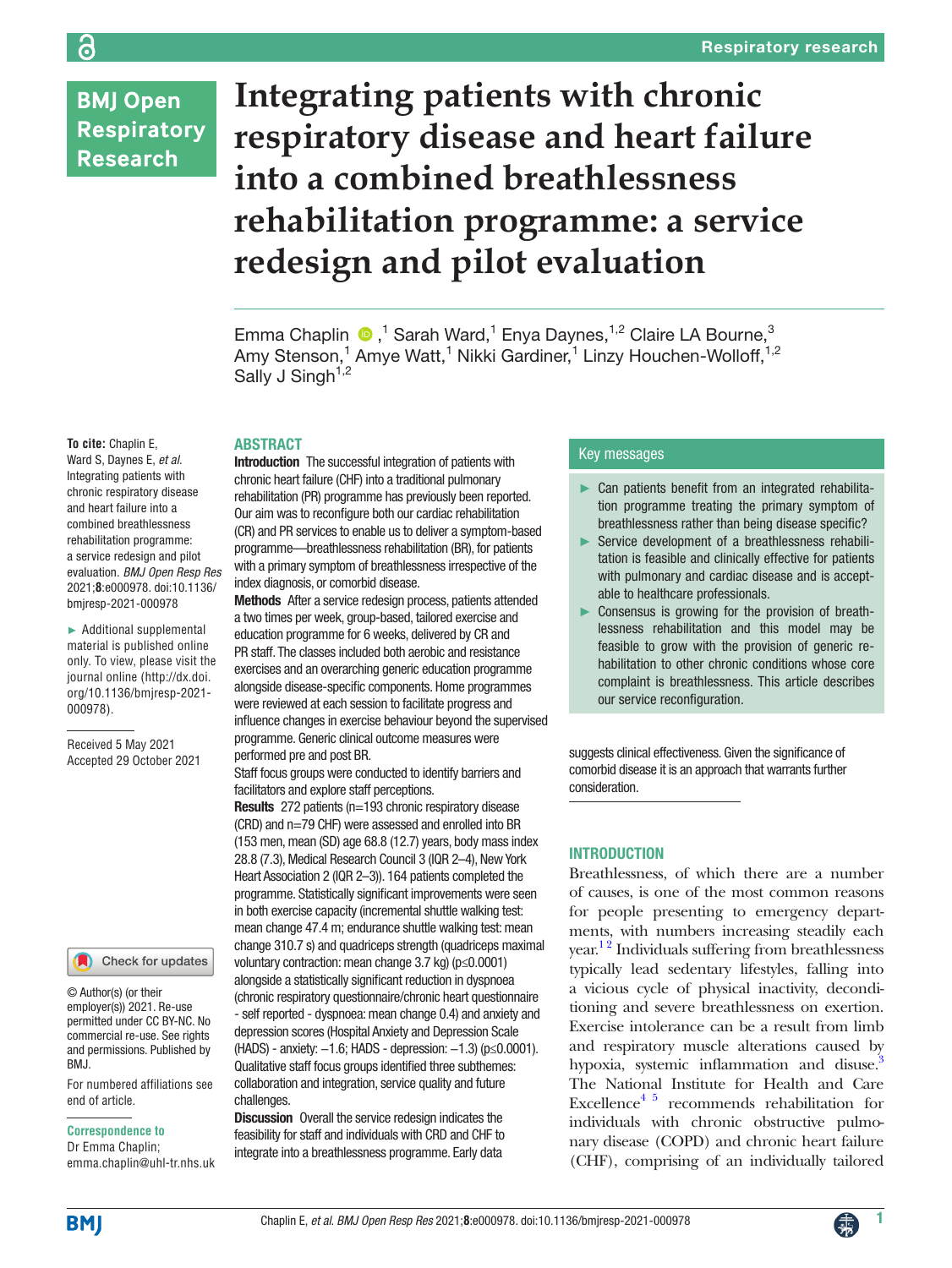**BMJ Open Respiratory Research** 

# **Integrating patients with chronic respiratory disease and heart failure into a combined breathlessness rehabilitation programme: a service redesign and pilot evaluation**

Emma Chaplin  $\bigcirc$ ,<sup>1</sup> Sarah Ward,<sup>1</sup> Enya Daynes,<sup>1,2</sup> Claire LA Bourne,<sup>3</sup> Amy Stenson,<sup>1</sup> Amye Watt,<sup>1</sup> Nikki Gardiner,<sup>1</sup> Linzy Houchen-Wolloff,<sup>1,2</sup> Sally J Singh<sup> $1,2$ </sup>

# ABSTRACT

Ward S, Daynes E, *et al*. Integrating patients with chronic respiratory disease and heart failure into a combined breathlessness rehabilitation programme: a service redesign and pilot evaluation. *BMJ Open Resp Res* 2021;**8**:e000978. doi:10.1136/ bmjresp-2021-000978

**To cite:** Chaplin E,

► Additional supplemental material is published online only. To view, please visit the journal online ([http://dx.doi.](http://dx.doi.org/10.1136/bmjresp-2021-000978) [org/10.1136/bmjresp-2021-](http://dx.doi.org/10.1136/bmjresp-2021-000978) [000978](http://dx.doi.org/10.1136/bmjresp-2021-000978)).

Received 5 May 2021 Accepted 29 October 2021

#### Check for updates

© Author(s) (or their employer(s)) 2021. Re-use permitted under CC BY-NC. No commercial re-use. See rights and permissions. Published by **BMJ** 

For numbered affiliations see end of article.

#### **Correspondence to**

Dr Emma Chaplin; emma.chaplin@uhl-tr.nhs.uk

Introduction The successful integration of patients with chronic heart failure (CHF) into a traditional pulmonary rehabilitation (PR) programme has previously been reported. Our aim was to reconfigure both our cardiac rehabilitation (CR) and PR services to enable us to deliver a symptom-based programme—breathlessness rehabilitation (BR), for patients with a primary symptom of breathlessness irrespective of the index diagnosis, or comorbid disease.

Methods After a service redesign process, patients attended a two times per week, group-based, tailored exercise and education programme for 6 weeks, delivered by CR and PR staff. The classes included both aerobic and resistance exercises and an overarching generic education programme alongside disease-specific components. Home programmes were reviewed at each session to facilitate progress and influence changes in exercise behaviour beyond the supervised programme. Generic clinical outcome measures were performed pre and post BR.

Staff focus groups were conducted to identify barriers and facilitators and explore staff perceptions.

Results 272 patients (n=193 chronic respiratory disease (CRD) and n=79 CHF) were assessed and enrolled into BR (153 men, mean (SD) age 68.8 (12.7) years, body mass index 28.8 (7.3), Medical Research Council 3 (IQR 2–4), New York Heart Association 2 (IQR 2–3)). 164 patients completed the programme. Statistically significant improvements were seen in both exercise capacity (incremental shuttle walking test: mean change 47.4 m; endurance shuttle walking test: mean change 310.7 s) and quadriceps strength (quadriceps maximal voluntary contraction: mean change 3.7 kg) (p≤0.0001) alongside a statistically significant reduction in dyspnoea (chronic respiratory questionnaire/chronic heart questionnaire - self reported - dyspnoea: mean change 0.4) and anxiety and depression scores (Hospital Anxiety and Depression Scale (HADS) - anxiety: −1.6; HADS - depression: −1.3) (p≤0.0001). Qualitative staff focus groups identified three subthemes: collaboration and integration, service quality and future challenges.

Discussion Overall the service redesign indicates the feasibility for staff and individuals with CRD and CHF to integrate into a breathlessness programme. Early data

## Key messages

- Can patients benefit from an integrated rehabilitation programme treating the primary symptom of breathlessness rather than being disease specific?
- ► Service development of a breathlessness rehabilitation is feasible and clinically effective for patients with pulmonary and cardiac disease and is acceptable to healthcare professionals.
- ► Consensus is growing for the provision of breathlessness rehabilitation and this model may be feasible to grow with the provision of generic rehabilitation to other chronic conditions whose core complaint is breathlessness. This article describes our service reconfiguration.

suggests clinical effectiveness. Given the significance of comorbid disease it is an approach that warrants further consideration.

## **INTRODUCTION**

Breathlessness, of which there are a number of causes, is one of the most common reasons for people presenting to emergency departments, with numbers increasing steadily each year.<sup>12</sup> Individuals suffering from breathlessness typically lead sedentary lifestyles, falling into a vicious cycle of physical inactivity, deconditioning and severe breathlessness on exertion. Exercise intolerance can be a result from limb and respiratory muscle alterations caused by hypoxia, systemic inflammation and disuse.<sup>3</sup> The National Institute for Health and Care Excellence<sup>4 5</sup> recommends rehabilitation for individuals with chronic obstructive pulmonary disease (COPD) and chronic heart failure (CHF), comprising of an individually tailored

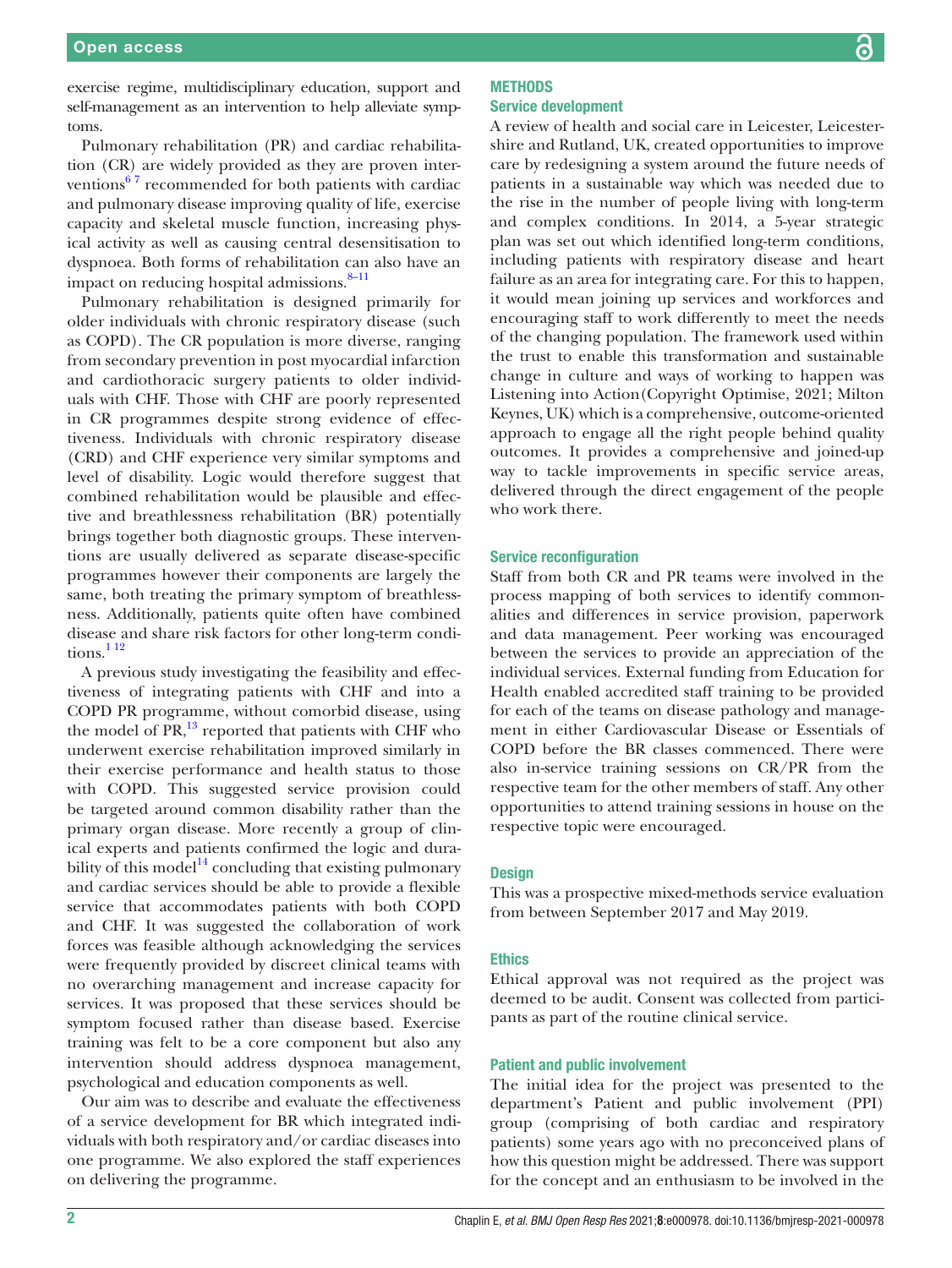exercise regime, multidisciplinary education, support and self-management as an intervention to help alleviate symptoms.

Pulmonary rehabilitation (PR) and cardiac rehabilitation (CR) are widely provided as they are proven interventions $67$  recommended for both patients with cardiac and pulmonary disease improving quality of life, exercise capacity and skeletal muscle function, increasing physical activity as well as causing central desensitisation to dyspnoea. Both forms of rehabilitation can also have an impact on reducing hospital admissions.<sup>8–11</sup>

Pulmonary rehabilitation is designed primarily for older individuals with chronic respiratory disease (such as COPD). The CR population is more diverse, ranging from secondary prevention in post myocardial infarction and cardiothoracic surgery patients to older individuals with CHF. Those with CHF are poorly represented in CR programmes despite strong evidence of effectiveness. Individuals with chronic respiratory disease (CRD) and CHF experience very similar symptoms and level of disability. Logic would therefore suggest that combined rehabilitation would be plausible and effective and breathlessness rehabilitation (BR) potentially brings together both diagnostic groups. These interventions are usually delivered as separate disease-specific programmes however their components are largely the same, both treating the primary symptom of breathlessness. Additionally, patients quite often have combined disease and share risk factors for other long-term conditions. $112$ 

A previous study investigating the feasibility and effectiveness of integrating patients with CHF and into a COPD PR programme, without comorbid disease, using the model of PR,<sup>13</sup> reported that patients with CHF who underwent exercise rehabilitation improved similarly in their exercise performance and health status to those with COPD. This suggested service provision could be targeted around common disability rather than the primary organ disease. More recently a group of clinical experts and patients confirmed the logic and durability of this model<sup>14</sup> concluding that existing pulmonary and cardiac services should be able to provide a flexible service that accommodates patients with both COPD and CHF. It was suggested the collaboration of work forces was feasible although acknowledging the services were frequently provided by discreet clinical teams with no overarching management and increase capacity for services. It was proposed that these services should be symptom focused rather than disease based. Exercise training was felt to be a core component but also any intervention should address dyspnoea management, psychological and education components as well.

Our aim was to describe and evaluate the effectiveness of a service development for BR which integrated individuals with both respiratory and/or cardiac diseases into one programme. We also explored the staff experiences on delivering the programme.

# **METHODS** Service development

A review of health and social care in Leicester, Leicestershire and Rutland, UK, created opportunities to improve care by redesigning a system around the future needs of patients in a sustainable way which was needed due to the rise in the number of people living with long-term and complex conditions. In 2014, a 5-year strategic plan was set out which identified long-term conditions, including patients with respiratory disease and heart failure as an area for integrating care. For this to happen, it would mean joining up services and workforces and encouraging staff to work differently to meet the needs of the changing population. The framework used within the trust to enable this transformation and sustainable change in culture and ways of working to happen was Listening into Action(Copyright Optimise, 2021; Milton Keynes, UK) which is a comprehensive, outcome-oriented approach to engage all the right people behind quality outcomes. It provides a comprehensive and joined-up way to tackle improvements in specific service areas, delivered through the direct engagement of the people who work there.

#### Service reconfiguration

Staff from both CR and PR teams were involved in the process mapping of both services to identify commonalities and differences in service provision, paperwork and data management. Peer working was encouraged between the services to provide an appreciation of the individual services. External funding from Education for Health enabled accredited staff training to be provided for each of the teams on disease pathology and management in either Cardiovascular Disease or Essentials of COPD before the BR classes commenced. There were also in-service training sessions on CR/PR from the respective team for the other members of staff. Any other opportunities to attend training sessions in house on the respective topic were encouraged.

## **Design**

This was a prospective mixed-methods service evaluation from between September 2017 and May 2019.

## **Ethics**

Ethical approval was not required as the project was deemed to be audit. Consent was collected from participants as part of the routine clinical service.

### Patient and public involvement

The initial idea for the project was presented to the department's Patient and public involvement (PPI) group (comprising of both cardiac and respiratory patients) some years ago with no preconceived plans of how this question might be addressed. There was support for the concept and an enthusiasm to be involved in the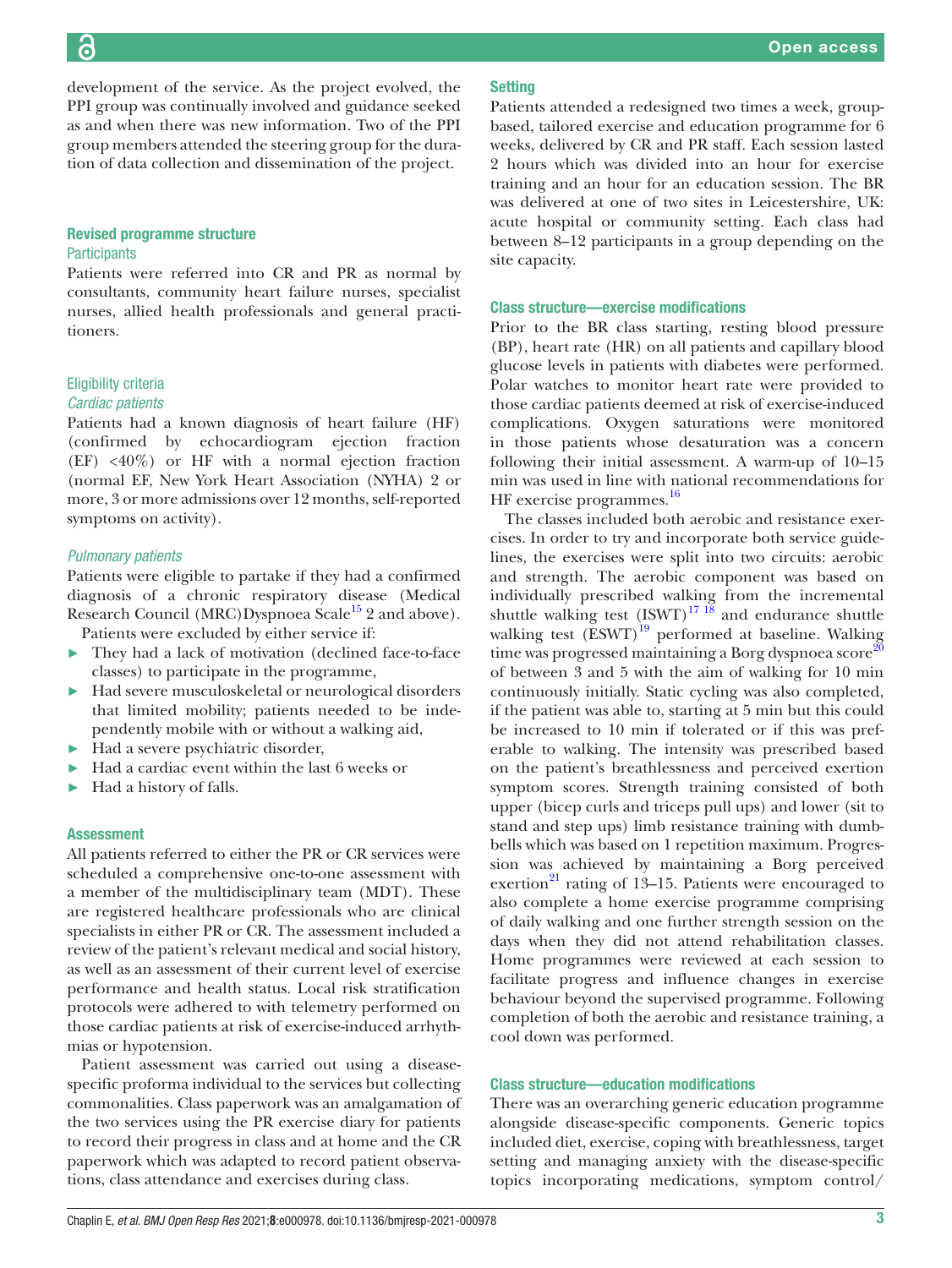development of the service. As the project evolved, the PPI group was continually involved and guidance seeked as and when there was new information. Two of the PPI group members attended the steering group for the duration of data collection and dissemination of the project.

# Revised programme structure **Participants**

Patients were referred into CR and PR as normal by consultants, community heart failure nurses, specialist nurses, allied health professionals and general practitioners.

# Eligibility criteria *Cardiac patients*

# Patients had a known diagnosis of heart failure (HF) (confirmed by echocardiogram ejection fraction (EF) <40%) or HF with a normal ejection fraction (normal EF, New York Heart Association (NYHA) 2 or more, 3 or more admissions over 12 months, self-reported symptoms on activity).

# *Pulmonary patients*

Patients were eligible to partake if they had a confirmed diagnosis of a chronic respiratory disease (Medical Research Council (MRC)Dyspnoea Scale<sup>[15](#page-7-7)</sup> 2 and above).

Patients were excluded by either service if:

- They had a lack of motivation (declined face-to-face classes) to participate in the programme,
- ► Had severe musculoskeletal or neurological disorders that limited mobility; patients needed to be independently mobile with or without a walking aid,
- ► Had a severe psychiatric disorder,
- Had a cardiac event within the last 6 weeks or
- ► Had a history of falls.

# Assessment

All patients referred to either the PR or CR services were scheduled a comprehensive one-to-one assessment with a member of the multidisciplinary team (MDT). These are registered healthcare professionals who are clinical specialists in either PR or CR. The assessment included a review of the patient's relevant medical and social history, as well as an assessment of their current level of exercise performance and health status. Local risk stratification protocols were adhered to with telemetry performed on those cardiac patients at risk of exercise-induced arrhythmias or hypotension.

Patient assessment was carried out using a diseasespecific proforma individual to the services but collecting commonalities. Class paperwork was an amalgamation of the two services using the PR exercise diary for patients to record their progress in class and at home and the CR paperwork which was adapted to record patient observations, class attendance and exercises during class.

Patients attended a redesigned two times a week, groupbased, tailored exercise and education programme for 6 weeks, delivered by CR and PR staff. Each session lasted 2 hours which was divided into an hour for exercise training and an hour for an education session. The BR was delivered at one of two sites in Leicestershire, UK: acute hospital or community setting. Each class had between 8–12 participants in a group depending on the site capacity.

## Class structure—exercise modifications

Prior to the BR class starting, resting blood pressure (BP), heart rate (HR) on all patients and capillary blood glucose levels in patients with diabetes were performed. Polar watches to monitor heart rate were provided to those cardiac patients deemed at risk of exercise-induced complications. Oxygen saturations were monitored in those patients whose desaturation was a concern following their initial assessment. A warm-up of 10–15 min was used in line with national recommendations for HF exercise programmes.<sup>[16](#page-7-8)</sup>

The classes included both aerobic and resistance exercises. In order to try and incorporate both service guidelines, the exercises were split into two circuits: aerobic and strength. The aerobic component was based on individually prescribed walking from the incremental shuttle walking test  $(\text{ISWT})^{17}$  18 and endurance shuttle walking test  $(ESWT)^{19}$  performed at baseline. Walking time was progressed maintaining a Borg dyspnoea score<sup>20</sup> of between 3 and 5 with the aim of walking for 10 min continuously initially. Static cycling was also completed, if the patient was able to, starting at 5 min but this could be increased to 10 min if tolerated or if this was preferable to walking. The intensity was prescribed based on the patient's breathlessness and perceived exertion symptom scores. Strength training consisted of both upper (bicep curls and triceps pull ups) and lower (sit to stand and step ups) limb resistance training with dumbbells which was based on 1 repetition maximum. Progression was achieved by maintaining a Borg perceived exertion $^{21}$  rating of 13–15. Patients were encouraged to also complete a home exercise programme comprising of daily walking and one further strength session on the days when they did not attend rehabilitation classes. Home programmes were reviewed at each session to facilitate progress and influence changes in exercise behaviour beyond the supervised programme. Following completion of both the aerobic and resistance training, a cool down was performed.

# Class structure—education modifications

There was an overarching generic education programme alongside disease-specific components. Generic topics included diet, exercise, coping with breathlessness, target setting and managing anxiety with the disease-specific topics incorporating medications, symptom control/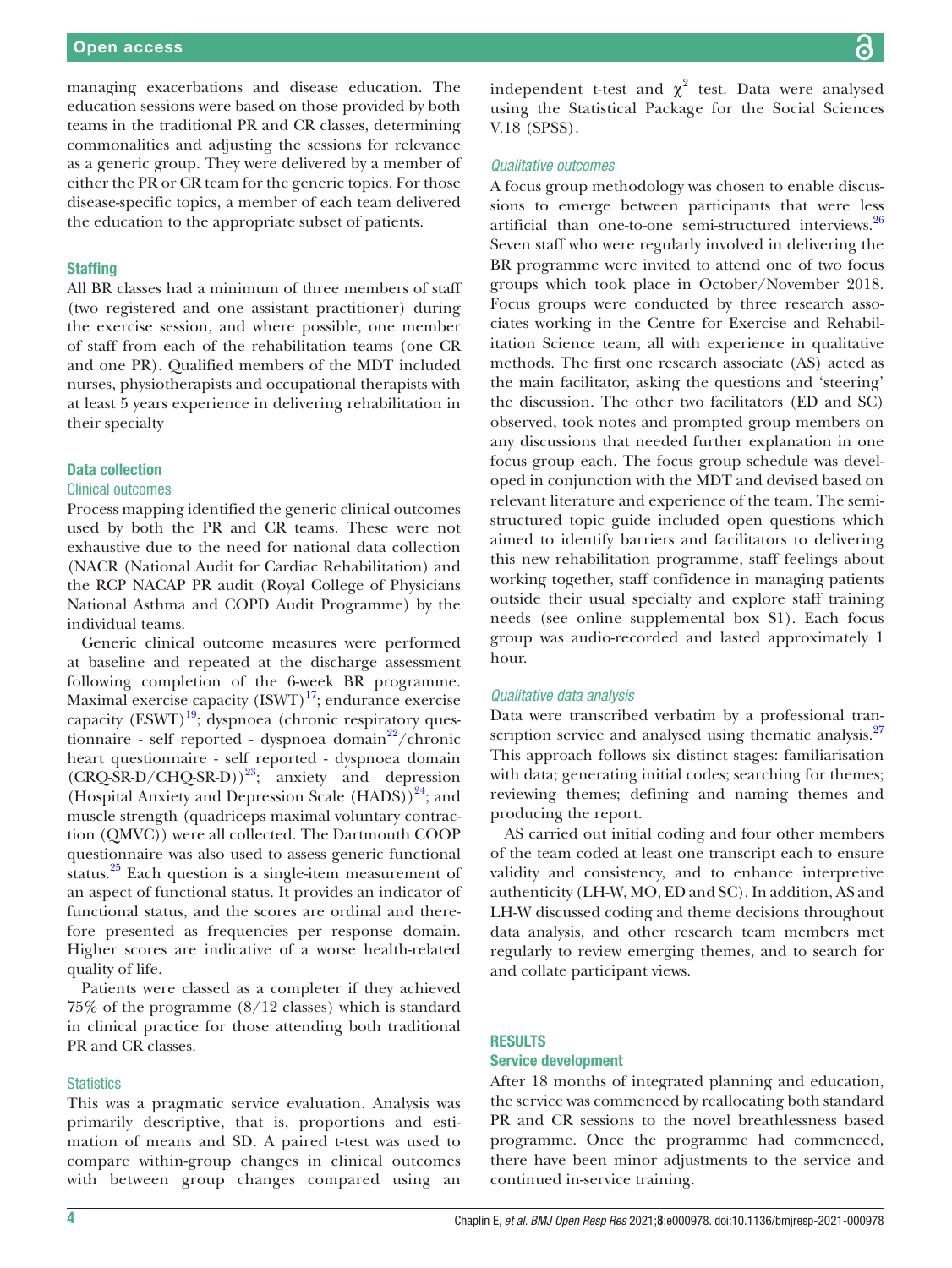managing exacerbations and disease education. The education sessions were based on those provided by both teams in the traditional PR and CR classes, determining commonalities and adjusting the sessions for relevance as a generic group. They were delivered by a member of either the PR or CR team for the generic topics. For those disease-specific topics, a member of each team delivered the education to the appropriate subset of patients.

## **Staffing**

All BR classes had a minimum of three members of staff (two registered and one assistant practitioner) during the exercise session, and where possible, one member of staff from each of the rehabilitation teams (one CR and one PR). Qualified members of the MDT included nurses, physiotherapists and occupational therapists with at least 5 years experience in delivering rehabilitation in their specialty

### Data collection

### Clinical outcomes

Process mapping identified the generic clinical outcomes used by both the PR and CR teams. These were not exhaustive due to the need for national data collection (NACR (National Audit for Cardiac Rehabilitation) and the RCP NACAP PR audit (Royal College of Physicians National Asthma and COPD Audit Programme) by the individual teams.

Generic clinical outcome measures were performed at baseline and repeated at the discharge assessment following completion of the 6-week BR programme. Maximal exercise capacity  $(ISWT)^{17}$ ; endurance exercise capacity  $(ESWT)^{19}$ ; dyspnoea (chronic respiratory questionnaire - self reported - dyspnoea domain $2^2$ /chronic heart questionnaire - self reported - dyspnoea domain  $(CRQ-SR-D/CHQ-SR-D))^{23}$ ; anxiety and depression (Hospital Anxiety and Depression Scale  $(HADS)$ <sup>24</sup>; and muscle strength (quadriceps maximal voluntary contraction (QMVC)) were all collected. The Dartmouth COOP questionnaire was also used to assess generic functional status. $25$  Each question is a single-item measurement of an aspect of functional status. It provides an indicator of functional status, and the scores are ordinal and therefore presented as frequencies per response domain. Higher scores are indicative of a worse health-related quality of life.

Patients were classed as a completer if they achieved 75% of the programme (8/12 classes) which is standard in clinical practice for those attending both traditional PR and CR classes.

#### **Statistics**

This was a pragmatic service evaluation. Analysis was primarily descriptive, that is, proportions and estimation of means and SD. A paired t-test was used to compare within-group changes in clinical outcomes with between group changes compared using an

independent t-test and  $\chi^2$  test. Data were analysed using the Statistical Package for the Social Sciences V.18 (SPSS).

### *Qualitative outcomes*

A focus group methodology was chosen to enable discussions to emerge between participants that were less artificial than one-to-one semi-structured interviews.<sup>[26](#page-7-17)</sup> Seven staff who were regularly involved in delivering the BR programme were invited to attend one of two focus groups which took place in October/November 2018. Focus groups were conducted by three research associates working in the Centre for Exercise and Rehabilitation Science team, all with experience in qualitative methods. The first one research associate (AS) acted as the main facilitator, asking the questions and 'steering' the discussion. The other two facilitators (ED and SC) observed, took notes and prompted group members on any discussions that needed further explanation in one focus group each. The focus group schedule was developed in conjunction with the MDT and devised based on relevant literature and experience of the team. The semistructured topic guide included open questions which aimed to identify barriers and facilitators to delivering this new rehabilitation programme, staff feelings about working together, staff confidence in managing patients outside their usual specialty and explore staff training needs (see [online supplemental box S1](https://dx.doi.org/10.1136/bmjresp-2021-000978)). Each focus group was audio-recorded and lasted approximately 1 hour.

#### *Qualitative data analysis*

Data were transcribed verbatim by a professional tran-scription service and analysed using thematic analysis.<sup>[27](#page-7-18)</sup> This approach follows six distinct stages: familiarisation with data; generating initial codes; searching for themes; reviewing themes; defining and naming themes and producing the report.

AS carried out initial coding and four other members of the team coded at least one transcript each to ensure validity and consistency, and to enhance interpretive authenticity (LH-W, MO, ED and SC). In addition, AS and LH-W discussed coding and theme decisions throughout data analysis, and other research team members met regularly to review emerging themes, and to search for and collate participant views.

## RESULTS

## Service development

After 18 months of integrated planning and education, the service was commenced by reallocating both standard PR and CR sessions to the novel breathlessness based programme. Once the programme had commenced, there have been minor adjustments to the service and continued in-service training.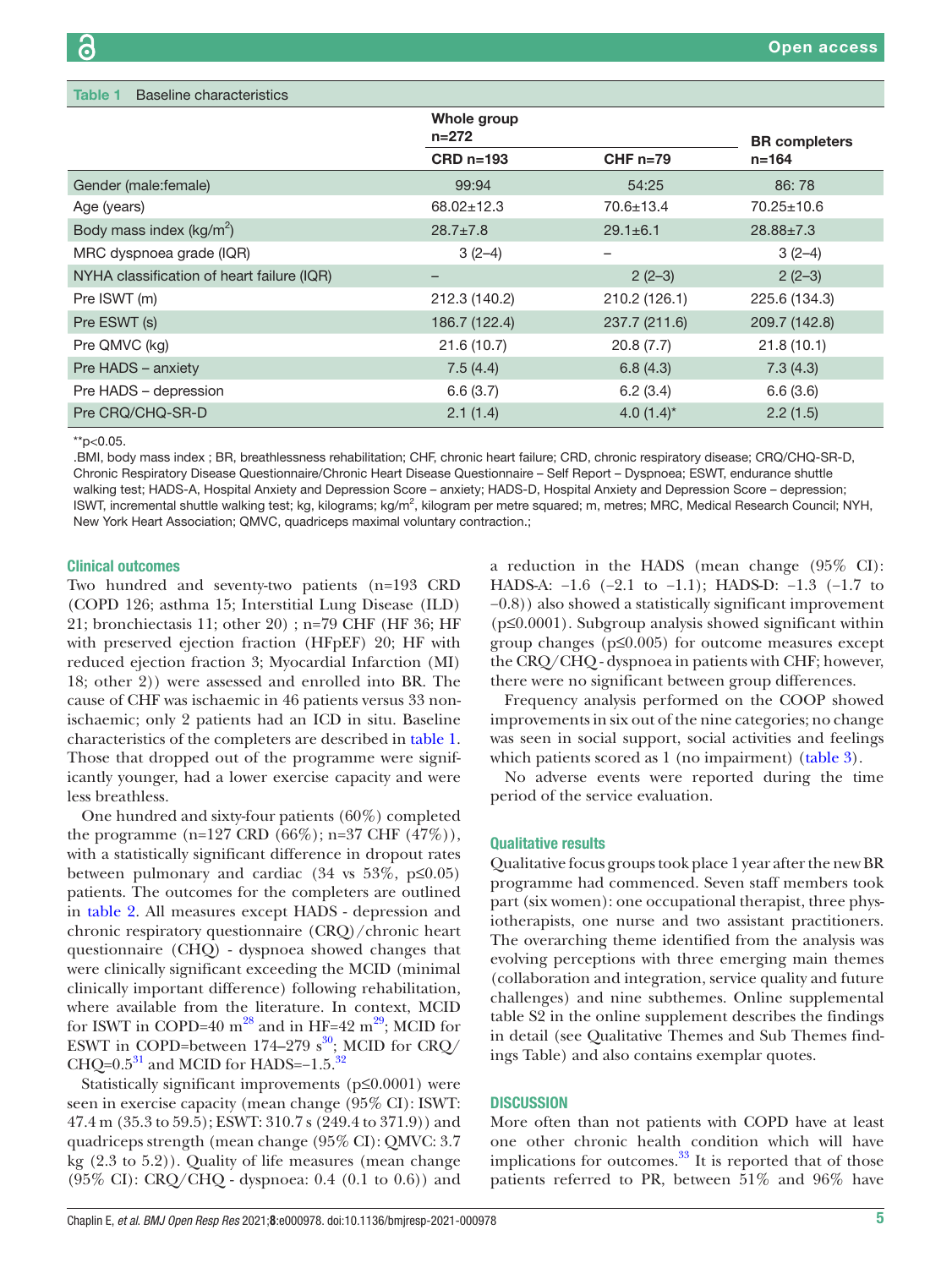<span id="page-4-0"></span>

| Baseline characteristics<br>Table 1        |                                                       |                 |                      |  |
|--------------------------------------------|-------------------------------------------------------|-----------------|----------------------|--|
|                                            | Whole group<br>$n = 272$<br>$CRD$ n=193<br>$CHF n=79$ |                 | <b>BR</b> completers |  |
|                                            |                                                       |                 | $n = 164$            |  |
| Gender (male: female)                      | 99:94                                                 | 54:25           | 86:78                |  |
| Age (years)                                | $68.02 \pm 12.3$                                      | $70.6 \pm 13.4$ | $70.25 \pm 10.6$     |  |
| Body mass index $(kg/m^2)$                 | $28.7 \pm 7.8$                                        | $29.1 \pm 6.1$  | $28.88 \pm 7.3$      |  |
| MRC dyspnoea grade (IQR)                   | $3(2-4)$                                              | -               | $3(2-4)$             |  |
| NYHA classification of heart failure (IQR) |                                                       | $2(2-3)$        | $2(2-3)$             |  |
| Pre ISWT (m)                               | 212.3 (140.2)                                         | 210.2 (126.1)   | 225.6 (134.3)        |  |
| Pre ESWT (s)                               | 186.7 (122.4)                                         | 237.7 (211.6)   | 209.7 (142.8)        |  |
| Pre QMVC (kg)                              | 21.6(10.7)                                            | 20.8(7.7)       | 21.8(10.1)           |  |
| Pre HADS - anxiety                         | 7.5(4.4)                                              | 6.8(4.3)        | 7.3(4.3)             |  |
| Pre HADS - depression                      | 6.6(3.7)                                              | 6.2(3.4)        | 6.6(3.6)             |  |
| Pre CRQ/CHQ-SR-D                           | 2.1(1.4)                                              | 4.0 $(1.4)^*$   | 2.2(1.5)             |  |

\*\*p<0.05.

.BMI, body mass index ; BR, breathlessness rehabilitation; CHF, chronic heart failure; CRD, chronic respiratory disease; CRQ/CHQ-SR-D, Chronic Respiratory Disease Questionnaire/Chronic Heart Disease Questionnaire – Self Report – Dyspnoea; ESWT, endurance shuttle walking test; HADS-A, Hospital Anxiety and Depression Score – anxiety; HADS-D, Hospital Anxiety and Depression Score – depression; ISWT, incremental shuttle walking test; kg, kilograms; kg/m<sup>2</sup>, kilogram per metre squared; m, metres; MRC, Medical Research Council; NYH, New York Heart Association; QMVC, quadriceps maximal voluntary contraction.;

## Clinical outcomes

Two hundred and seventy-two patients (n=193 CRD (COPD 126; asthma 15; Interstitial Lung Disease (ILD) 21; bronchiectasis 11; other 20) ; n=79 CHF (HF 36; HF with preserved ejection fraction (HFpEF) 20; HF with reduced ejection fraction 3; Myocardial Infarction (MI) 18; other 2)) were assessed and enrolled into BR. The cause of CHF was ischaemic in 46 patients versus 33 nonischaemic; only 2 patients had an ICD in situ. Baseline characteristics of the completers are described in [table](#page-4-0) 1. Those that dropped out of the programme were significantly younger, had a lower exercise capacity and were less breathless.

One hundred and sixty-four patients (60%) completed the programme (n=127 CRD (66%); n=37 CHF (47%)), with a statistically significant difference in dropout rates between pulmonary and cardiac  $(34 \text{ vs } 53\%, \text{ p} \le 0.05)$ patients. The outcomes for the completers are outlined in [table](#page-5-0) 2. All measures except HADS - depression and chronic respiratory questionnaire (CRQ)/chronic heart questionnaire (CHQ) - dyspnoea showed changes that were clinically significant exceeding the MCID (minimal clinically important difference) following rehabilitation, where available from the literature. In context, MCID for ISWT in COPD=40  $m^{28}$  and in HF=42  $m^{29}$ ; MCID for ESWT in COPD=between 174–279  $s^{30}$  $s^{30}$  $s^{30}$ ; MCID for CRQ/ CHQ= $0.5^{31}$  and MCID for HADS= $-1.5.^{32}$  $-1.5.^{32}$  $-1.5.^{32}$ 

Statistically significant improvements (p≤0.0001) were seen in exercise capacity (mean change (95% CI): ISWT: 47.4 m (35.3 to 59.5); ESWT: 310.7 s (249.4 to 371.9)) and quadriceps strength (mean change (95% CI): QMVC: 3.7 kg (2.3 to 5.2)). Quality of life measures (mean change (95% CI): CRQ/CHQ - dyspnoea: 0.4 (0.1 to 0.6)) and a reduction in the HADS (mean change (95% CI): HADS-A: −1.6 (−2.1 to −1.1); HADS-D: −1.3 (−1.7 to −0.8)) also showed a statistically significant improvement  $(p \le 0.0001)$ . Subgroup analysis showed significant within group changes (p≤0.005) for outcome measures except the CRQ/CHQ - dyspnoea in patients with CHF; however, there were no significant between group differences.

Frequency analysis performed on the COOP showed improvements in six out of the nine categories; no change was seen in social support, social activities and feelings which patients scored as 1 (no impairment) ([table](#page-5-1) 3).

No adverse events were reported during the time period of the service evaluation.

#### Qualitative results

Qualitative focus groups took place 1 year after the new BR programme had commenced. Seven staff members took part (six women): one occupational therapist, three physiotherapists, one nurse and two assistant practitioners. The overarching theme identified from the analysis was evolving perceptions with three emerging main themes (collaboration and integration, service quality and future challenges) and nine subthemes. [Online supplemental](https://dx.doi.org/10.1136/bmjresp-2021-000978) [table S2](https://dx.doi.org/10.1136/bmjresp-2021-000978) in the online supplement describes the findings in detail (see Qualitative Themes and Sub Themes findings Table) and also contains exemplar quotes.

### **DISCUSSION**

More often than not patients with COPD have at least one other chronic health condition which will have implications for outcomes. $33$  It is reported that of those patients referred to PR, between 51% and 96% have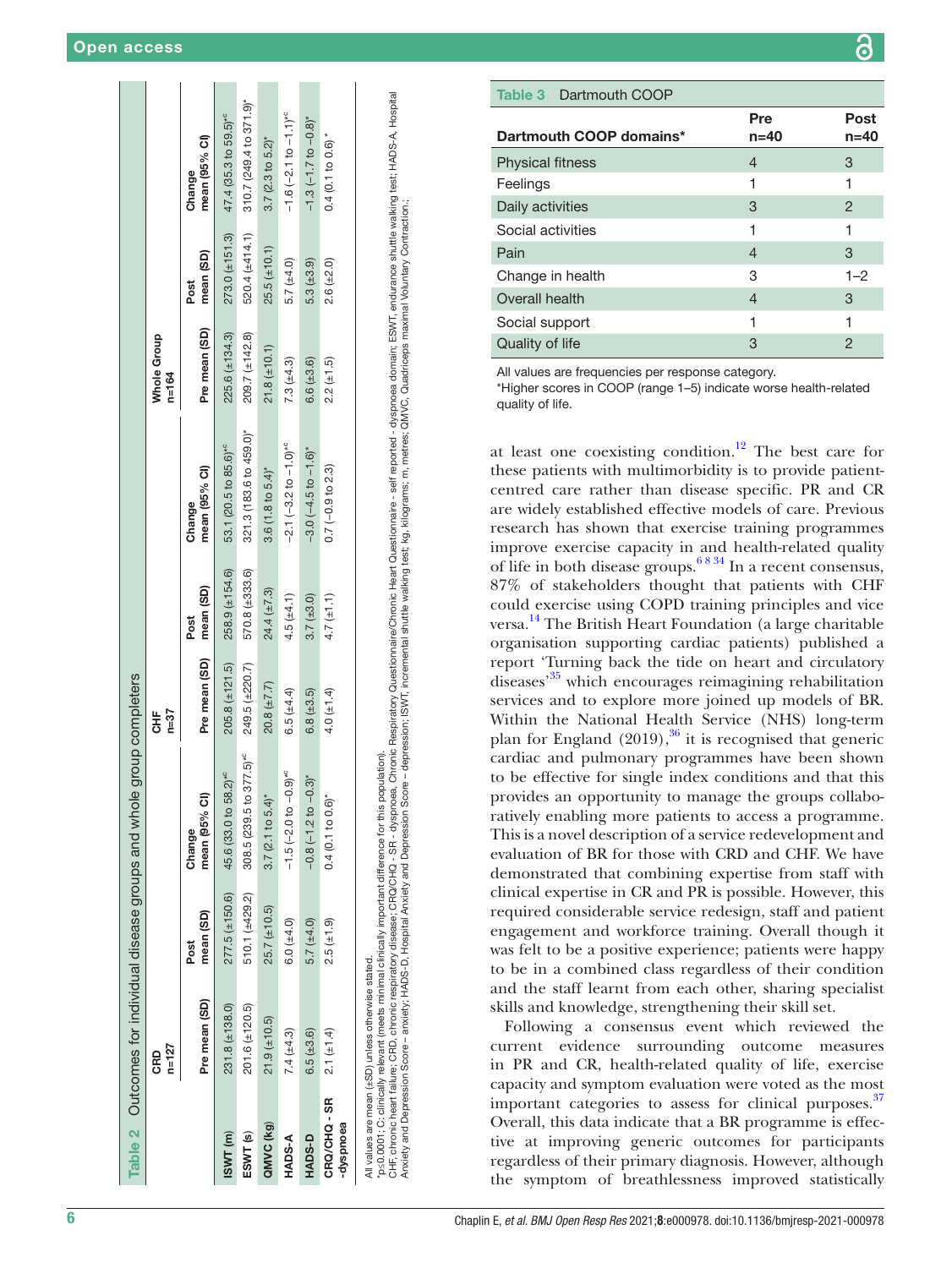|                         | $n=127$<br><b>CRD</b>                              |                     |                                                                                                        | $n = 37$<br>놓    |                     |                                                                                                                                                                                                                                | Whole Group<br>$n = 164$ |                   |                                    |
|-------------------------|----------------------------------------------------|---------------------|--------------------------------------------------------------------------------------------------------|------------------|---------------------|--------------------------------------------------------------------------------------------------------------------------------------------------------------------------------------------------------------------------------|--------------------------|-------------------|------------------------------------|
|                         | Pre mean (SD)                                      | mean (SD)<br>Post   | mean (95% Cl)<br>Change                                                                                | Pre mean (SD)    | mean (SD)<br>Post   | mean (95% CI)<br>Change                                                                                                                                                                                                        | Pre mean (SD)            | mean (SD)<br>Post | mean (95% Cl)<br>Change            |
| ISWT <sub>(m)</sub>     | $231.8 (\pm 138.0)$                                | $277.5 (\pm 150.6)$ | 45.6 (33.0 to 58.2) <sup>*c</sup>                                                                      | $205.8 (+121.5)$ | $258.9 (+154.6)$    | 53.1 (20.5 to 85.6) <sup>*c</sup>                                                                                                                                                                                              | $225.6 (\pm 134.3)$      | $273.0 (+151.3)$  | 47.4 (35.3 to 59.5) <sup>*c</sup>  |
| ESWT <sub>(s)</sub>     | $201.6 (\pm 120.5)$                                | $510.1(\pm 429.2)$  | $308.5(239.5 \text{ to } 377.5)^{40}$                                                                  | $249.5 (+220.7)$ | $570.8 (\pm 333.6)$ | 321.3 (183.6 to 459.0)*                                                                                                                                                                                                        | 209.7 (±142.8)           | $520.4 (+414.1)$  | $310.7$ (249.4 to $371.9$ )*       |
| QMVC (kg)               | $21.9(+10.5)$                                      | $25.7 (\pm 10.5)$   | $3.7(2.1)$ to $5.4$ <sup>*</sup>                                                                       | $20.8 (\pm 7.7)$ | $24.4 (\pm 7.3)$    | 3.6(1.8 to 5.4)                                                                                                                                                                                                                | $21.8(\pm 10.1)$         | $25.5 (\pm 10.1)$ | $3.7$ (2.3 to 5.2)*                |
| HADS-A                  | $7.4 (\pm 4.3)$                                    | $6.0 (*4.0)$        | $-1.5(-2.0 to -0.9)$ <sup>*c</sup>                                                                     | 6.5 $(\pm 4.4)$  | 4.5 $(\pm 4.1)$     | $-2.1 (-3.2 to -1.0)^{k}$                                                                                                                                                                                                      | $7.3(\pm 4.3)$           | 5.7 $(±4.0)$      | $-1.6(-2.1 \text{ to } -1.1)^{+0}$ |
| HADS-D                  | $6.5 (\pm 3.6)$                                    | 5.7 (±4.0)          | $-0.8(-1.2 to -0.3)$                                                                                   | $6.8 (\pm 3.5)$  | $3.7 (\pm 3.0)$     | $-3.0(-4.5 \text{ to } -1.6)^*$                                                                                                                                                                                                | $6.6 (\pm 3.6)$          | $5.3(\pm 3.9)$    | $-1.3(-1.7 to -0.8)$ *             |
| CRQ/CHQ-SR<br>eeouds/p- | $2.1 (\pm 1.4)$                                    | 2.5 (±1.9)          | $0.4(0.1 to 0.6)$ *                                                                                    | 4.0 $(\pm 1.4)$  | $4.7 (\pm 1.1)$     | $0.7(-0.9 to 2.3)$                                                                                                                                                                                                             | $2.2 (\pm 1.5)$          | $2.6(\pm2.0)$     | $0.4(0.1 to 0.6)$ *                |
|                         | All values are mean (±SD) unless otherwise stated. |                     | $*$ ps0.0001; clinically relevant (meets minimal clinically important difference for this population). |                  |                     | CHR chronic heart failure; CRD, chronic respiratory disease; CRQ/CHQ - SR - ON 2016, Chronic Respiratory Questionnaire/Chronic Heart Questionnaire - self reported - dyspnoea domain; ESWT, endurance shuttle walking test; HA |                          |                   |                                    |

chronic heart failure; CRD, chronic respiratory disease; CRQ/CHQ - SR - dyspnoea, Chronic Respiratory Questionnaire/Chronic Heart Questionnaire - self reported - dyspnoea domain; ESWT, endurance shuttle walking test; HADS-CHF, chronic resclirations; CRQ/CHQ - SR - dyspass; CRQ/CHQ - dysass; CRQ/CHQ-16 - dysass; Chronic Respirationalie/Chronic Heat Questionnaire - self reported - dyspneat domain, ESWT, endurance shuttle walking test; HADS-A, Anxiety and Depression Score – anxiety; HADS-D, Hospital Anxiety and Depression Score – depression; ISWT, incremental shuttle walking test; kg, kilograms; m, metres; QMVC, Quadriceps maximal Voluntary Contraction.; Anxiety and Depres <span id="page-5-1"></span>Table 3 Dartmouth COOP

| Dartmouth COOP domains* | Pre<br>n=40 | Post<br>n=40 |
|-------------------------|-------------|--------------|
| <b>Physical fitness</b> | 4           | 3            |
| Feelings                |             | 1            |
| Daily activities        | 3           | 2            |
| Social activities       | 1           | 1            |
| Pain                    | 4           | 3            |
| Change in health        | З           | $1 - 2$      |
| Overall health          | 4           | 3            |
| Social support          | 1           | 1            |
| Quality of life         | З           | 2            |

All values are frequencies per response category.

\*Higher scores in COOP (range 1–5) indicate worse health-related quality of life.

at least one coexisting condition.<sup>12</sup> The best care for these patients with multimorbidity is to provide patientcentred care rather than disease specific. PR and CR are widely established effective models of care. Previous research has shown that exercise training programmes improve exercise capacity in and health-related quality of life in both disease groups.[6 8 34](#page-7-3) In a recent consensus, 87% of stakeholders thought that patients with CHF could exercise using COPD training principles and vice versa.<sup>14</sup> The British Heart Foundation (a large charitable organisation supporting cardiac patients) published a report 'Turning back the tide on heart and circulatory diseases['35](#page-7-26) which encourages reimagining rehabilitation services and to explore more joined up models of BR. Within the National Health Service (NHS) long-term plan for England  $(2019)$ ,<sup>36</sup> it is recognised that generic cardiac and pulmonary programmes have been shown to be effective for single index conditions and that this provides an opportunity to manage the groups collabo ratively enabling more patients to access a programme. This is a novel description of a service redevelopment and evaluation of BR for those with CRD and CHF. We have demonstrated that combining expertise from staff with clinical expertise in CR and PR is possible. However, this required considerable service redesign, staff and patient engagement and workforce training. Overall though it was felt to be a positive experience; patients were happy to be in a combined class regardless of their condition and the staff learnt from each other, sharing specialist skills and knowledge, strengthening their skill set.

<span id="page-5-0"></span>Following a consensus event which reviewed the current evidence surrounding outcome measures in PR and CR, health-related quality of life, exercise capacity and symptom evaluation were voted as the most important categories to assess for clinical purposes. $37$ Overall, this data indicate that a BR programme is effec tive at improving generic outcomes for participants regardless of their primary diagnosis. However, although the symptom of breathlessness improved statistically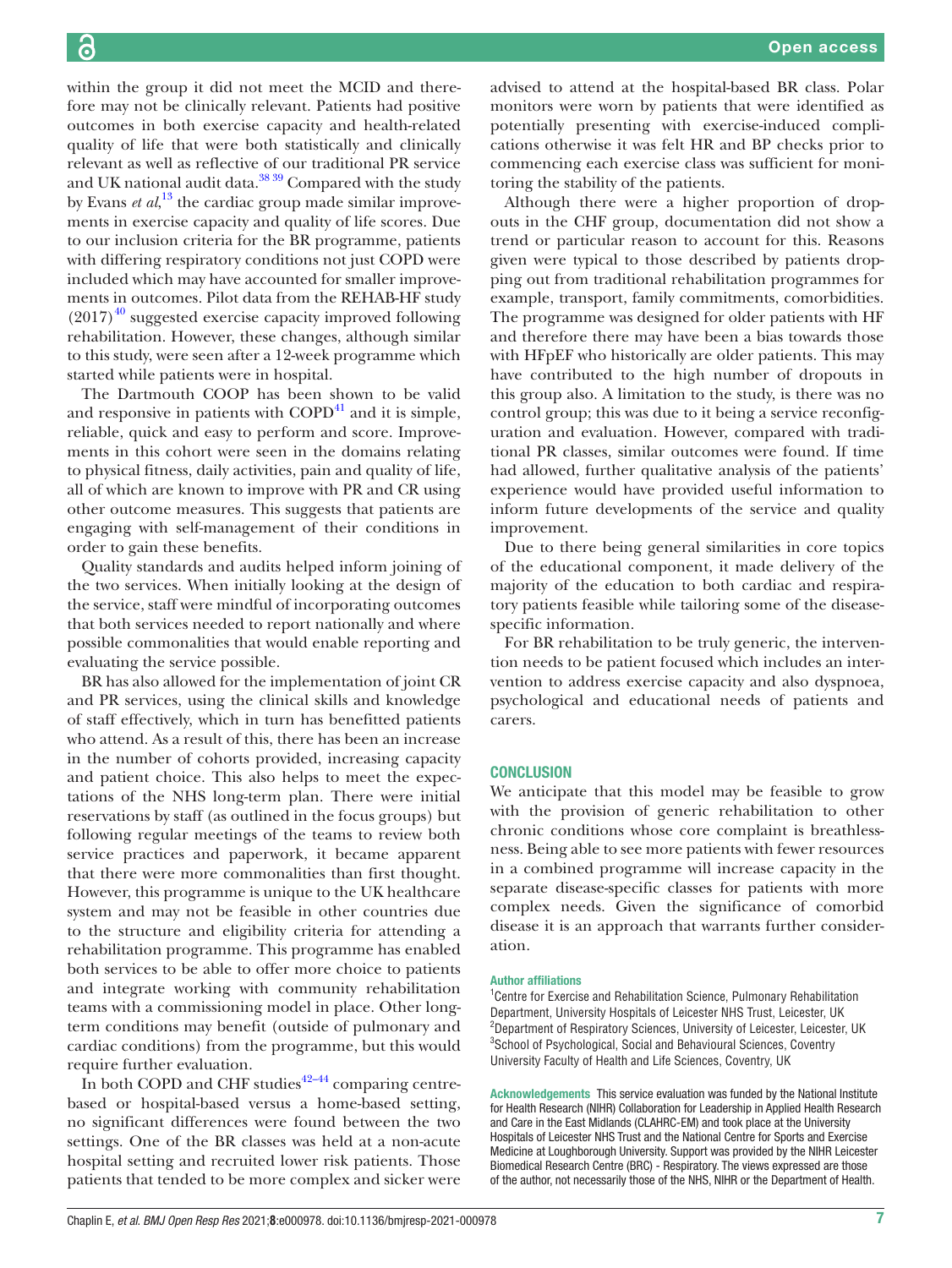within the group it did not meet the MCID and therefore may not be clinically relevant. Patients had positive outcomes in both exercise capacity and health-related quality of life that were both statistically and clinically relevant as well as reflective of our traditional PR service and UK national audit data.<sup>38 39</sup> Compared with the study by Evans *et al*,<sup>[13](#page-7-5)</sup> the cardiac group made similar improvements in exercise capacity and quality of life scores. Due to our inclusion criteria for the BR programme, patients with differing respiratory conditions not just COPD were included which may have accounted for smaller improvements in outcomes. Pilot data from the REHAB-HF study  $(2017)^{40}$  $(2017)^{40}$  $(2017)^{40}$  suggested exercise capacity improved following rehabilitation. However, these changes, although similar to this study, were seen after a 12-week programme which started while patients were in hospital.

The Dartmouth COOP has been shown to be valid and responsive in patients with  $\text{COPD}^{41}$  $\text{COPD}^{41}$  $\text{COPD}^{41}$  and it is simple, reliable, quick and easy to perform and score. Improvements in this cohort were seen in the domains relating to physical fitness, daily activities, pain and quality of life, all of which are known to improve with PR and CR using other outcome measures. This suggests that patients are engaging with self-management of their conditions in order to gain these benefits.

Quality standards and audits helped inform joining of the two services. When initially looking at the design of the service, staff were mindful of incorporating outcomes that both services needed to report nationally and where possible commonalities that would enable reporting and evaluating the service possible.

BR has also allowed for the implementation of joint CR and PR services, using the clinical skills and knowledge of staff effectively, which in turn has benefitted patients who attend. As a result of this, there has been an increase in the number of cohorts provided, increasing capacity and patient choice. This also helps to meet the expectations of the NHS long-term plan. There were initial reservations by staff (as outlined in the focus groups) but following regular meetings of the teams to review both service practices and paperwork, it became apparent that there were more commonalities than first thought. However, this programme is unique to the UK healthcare system and may not be feasible in other countries due to the structure and eligibility criteria for attending a rehabilitation programme. This programme has enabled both services to be able to offer more choice to patients and integrate working with community rehabilitation teams with a commissioning model in place. Other longterm conditions may benefit (outside of pulmonary and cardiac conditions) from the programme, but this would require further evaluation.

In both COPD and CHF studies $42-44$  comparing centrebased or hospital-based versus a home-based setting, no significant differences were found between the two settings. One of the BR classes was held at a non-acute hospital setting and recruited lower risk patients. Those patients that tended to be more complex and sicker were

advised to attend at the hospital-based BR class. Polar monitors were worn by patients that were identified as potentially presenting with exercise-induced complications otherwise it was felt HR and BP checks prior to commencing each exercise class was sufficient for monitoring the stability of the patients.

Although there were a higher proportion of dropouts in the CHF group, documentation did not show a trend or particular reason to account for this. Reasons given were typical to those described by patients dropping out from traditional rehabilitation programmes for example, transport, family commitments, comorbidities. The programme was designed for older patients with HF and therefore there may have been a bias towards those with HFpEF who historically are older patients. This may have contributed to the high number of dropouts in this group also. A limitation to the study, is there was no control group; this was due to it being a service reconfiguration and evaluation. However, compared with traditional PR classes, similar outcomes were found. If time had allowed, further qualitative analysis of the patients' experience would have provided useful information to inform future developments of the service and quality improvement.

Due to there being general similarities in core topics of the educational component, it made delivery of the majority of the education to both cardiac and respiratory patients feasible while tailoring some of the diseasespecific information.

For BR rehabilitation to be truly generic, the intervention needs to be patient focused which includes an intervention to address exercise capacity and also dyspnoea, psychological and educational needs of patients and carers.

# **CONCLUSION**

We anticipate that this model may be feasible to grow with the provision of generic rehabilitation to other chronic conditions whose core complaint is breathlessness. Being able to see more patients with fewer resources in a combined programme will increase capacity in the separate disease-specific classes for patients with more complex needs. Given the significance of comorbid disease it is an approach that warrants further consideration.

#### Author affiliations

<sup>1</sup> Centre for Exercise and Rehabilitation Science, Pulmonary Rehabilitation Department, University Hospitals of Leicester NHS Trust, Leicester, UK <sup>2</sup>Department of Respiratory Sciences, University of Leicester, Leicester, UK <sup>3</sup>School of Psychological, Social and Behavioural Sciences, Coventry University Faculty of Health and Life Sciences, Coventry, UK

Acknowledgements This service evaluation was funded by the National Institute for Health Research (NIHR) Collaboration for Leadership in Applied Health Research and Care in the East Midlands (CLAHRC-EM) and took place at the University Hospitals of Leicester NHS Trust and the National Centre for Sports and Exercise Medicine at Loughborough University. Support was provided by the NIHR Leicester Biomedical Research Centre (BRC) - Respiratory. The views expressed are those of the author, not necessarily those of the NHS, NIHR or the Department of Health.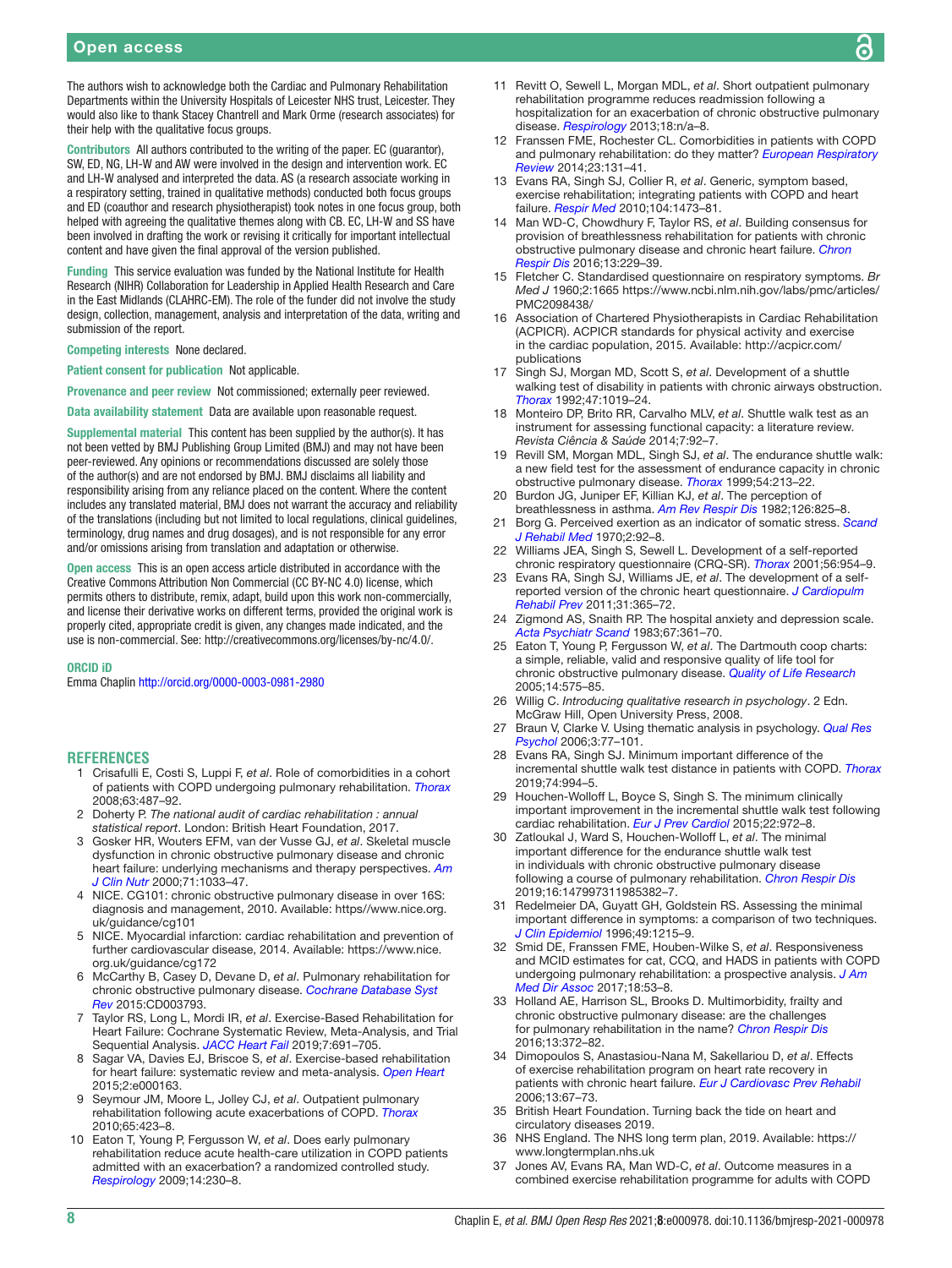The authors wish to acknowledge both the Cardiac and Pulmonary Rehabilitation Departments within the University Hospitals of Leicester NHS trust, Leicester. They would also like to thank Stacey Chantrell and Mark Orme (research associates) for their help with the qualitative focus groups.

Contributors All authors contributed to the writing of the paper. EC (guarantor), SW, ED, NG, LH-W and AW were involved in the design and intervention work. EC and LH-W analysed and interpreted the data. AS (a research associate working in a respiratory setting, trained in qualitative methods) conducted both focus groups and ED (coauthor and research physiotherapist) took notes in one focus group, both helped with agreeing the qualitative themes along with CB. EC, LH-W and SS have been involved in drafting the work or revising it critically for important intellectual content and have given the final approval of the version published.

Funding This service evaluation was funded by the National Institute for Health Research (NIHR) Collaboration for Leadership in Applied Health Research and Care in the East Midlands (CLAHRC-EM). The role of the funder did not involve the study design, collection, management, analysis and interpretation of the data, writing and submission of the report.

Competing interests None declared.

Patient consent for publication Not applicable.

Provenance and peer review Not commissioned; externally peer reviewed.

Data availability statement Data are available upon reasonable request.

Supplemental material This content has been supplied by the author(s). It has not been vetted by BMJ Publishing Group Limited (BMJ) and may not have been peer-reviewed. Any opinions or recommendations discussed are solely those of the author(s) and are not endorsed by BMJ. BMJ disclaims all liability and responsibility arising from any reliance placed on the content. Where the content includes any translated material, BMJ does not warrant the accuracy and reliability of the translations (including but not limited to local regulations, clinical guidelines, terminology, drug names and drug dosages), and is not responsible for any error and/or omissions arising from translation and adaptation or otherwise.

Open access This is an open access article distributed in accordance with the Creative Commons Attribution Non Commercial (CC BY-NC 4.0) license, which permits others to distribute, remix, adapt, build upon this work non-commercially, and license their derivative works on different terms, provided the original work is properly cited, appropriate credit is given, any changes made indicated, and the use is non-commercial. See:<http://creativecommons.org/licenses/by-nc/4.0/>.

#### ORCID iD

Emma Chaplin <http://orcid.org/0000-0003-0981-2980>

#### **REFERENCES**

- <span id="page-7-0"></span>1 Crisafulli E, Costi S, Luppi F, *et al*. Role of comorbidities in a cohort of patients with COPD undergoing pulmonary rehabilitation. *[Thorax](http://dx.doi.org/10.1136/thx.2007.086371)* 2008;63:487–92.
- 2 Doherty P. *The national audit of cardiac rehabilitation : annual statistical report*. London: British Heart Foundation, 2017.
- <span id="page-7-1"></span>3 Gosker HR, Wouters EFM, van der Vusse GJ, *et al*. Skeletal muscle dysfunction in chronic obstructive pulmonary disease and chronic heart failure: underlying mechanisms and therapy perspectives. *[Am](http://dx.doi.org/10.1093/ajcn/71.5.1033)  [J Clin Nutr](http://dx.doi.org/10.1093/ajcn/71.5.1033)* 2000;71:1033–47.
- <span id="page-7-2"></span>4 NICE. CG101: chronic obstructive pulmonary disease in over 16S: diagnosis and management, 2010. Available: [https//www.nice.org.](https//www.nice.org.uk/guidance/cg101) [uk/guidance/cg101](https//www.nice.org.uk/guidance/cg101)
- 5 NICE. Myocardial infarction: cardiac rehabilitation and prevention of further cardiovascular disease, 2014. Available: [https://www.nice.](https://www.nice.org.uk/guidance/cg172) [org.uk/guidance/cg172](https://www.nice.org.uk/guidance/cg172)
- <span id="page-7-3"></span>6 McCarthy B, Casey D, Devane D, *et al*. Pulmonary rehabilitation for chronic obstructive pulmonary disease. *[Cochrane Database Syst](http://dx.doi.org/10.1002/14651858.CD003793.pub3)  [Rev](http://dx.doi.org/10.1002/14651858.CD003793.pub3)* 2015:CD003793.
- 7 Taylor RS, Long L, Mordi IR, *et al*. Exercise-Based Rehabilitation for Heart Failure: Cochrane Systematic Review, Meta-Analysis, and Trial Sequential Analysis. *[JACC Heart Fail](http://dx.doi.org/10.1016/j.jchf.2019.04.023)* 2019;7:691–705.
- <span id="page-7-4"></span>8 Sagar VA, Davies EJ, Briscoe S, *et al*. Exercise-based rehabilitation for heart failure: systematic review and meta-analysis. *[Open Heart](http://dx.doi.org/10.1136/openhrt-2014-000163)* 2015;2:e000163.
- 9 Seymour JM, Moore L, Jolley CJ, *et al*. Outpatient pulmonary rehabilitation following acute exacerbations of COPD. *[Thorax](http://dx.doi.org/10.1136/thx.2009.124164)* 2010;65:423–8.
- 10 Eaton T, Young P, Fergusson W, *et al*. Does early pulmonary rehabilitation reduce acute health-care utilization in COPD patients admitted with an exacerbation? a randomized controlled study. *[Respirology](http://dx.doi.org/10.1111/j.1440-1843.2008.01418.x)* 2009;14:230–8.
- 11 Revitt O, Sewell L, Morgan MDL, *et al*. Short outpatient pulmonary rehabilitation programme reduces readmission following a hospitalization for an exacerbation of chronic obstructive pulmonary disease. *[Respirology](http://dx.doi.org/10.1111/resp.12141)* 2013;18:n/a–8.
- <span id="page-7-25"></span>12 Franssen FME, Rochester CL. Comorbidities in patients with COPD and pulmonary rehabilitation: do they matter? *[European Respiratory](http://dx.doi.org/10.1183/09059180.00007613)  [Review](http://dx.doi.org/10.1183/09059180.00007613)* 2014;23:131–41.
- <span id="page-7-5"></span>13 Evans RA, Singh SJ, Collier R, *et al*. Generic, symptom based, exercise rehabilitation; integrating patients with COPD and heart failure. *[Respir Med](http://dx.doi.org/10.1016/j.rmed.2010.04.024)* 2010;104:1473–81.
- <span id="page-7-6"></span>14 Man WD-C, Chowdhury F, Taylor RS, *et al*. Building consensus for provision of breathlessness rehabilitation for patients with chronic obstructive pulmonary disease and chronic heart failure. *[Chron](http://dx.doi.org/10.1177/1479972316642363)  [Respir Dis](http://dx.doi.org/10.1177/1479972316642363)* 2016;13:229–39.
- <span id="page-7-7"></span>15 Fletcher C. Standardised questionnaire on respiratory symptoms. *Br Med J* 1960;2:1665 [https://www.ncbi.nlm.nih.gov/labs/pmc/articles/](https://www.ncbi.nlm.nih.gov/labs/pmc/articles/PMC2098438/) [PMC2098438/](https://www.ncbi.nlm.nih.gov/labs/pmc/articles/PMC2098438/)
- <span id="page-7-8"></span>16 Association of Chartered Physiotherapists in Cardiac Rehabilitation (ACPICR). ACPICR standards for physical activity and exercise in the cardiac population, 2015. Available: [http://acpicr.com/](http://acpicr.com/publications) [publications](http://acpicr.com/publications)
- <span id="page-7-9"></span>17 Singh SJ, Morgan MD, Scott S, *et al*. Development of a shuttle walking test of disability in patients with chronic airways obstruction. *[Thorax](http://dx.doi.org/10.1136/thx.47.12.1019)* 1992;47:1019–24.
- 18 Monteiro DP, Brito RR, Carvalho MLV, *et al*. Shuttle walk test as an instrument for assessing functional capacity: a literature review. *Revista Ciência & Saúde* 2014;7:92–7.
- <span id="page-7-10"></span>19 Revill SM, Morgan MDL, Singh SJ, *et al*. The endurance shuttle walk: a new field test for the assessment of endurance capacity in chronic obstructive pulmonary disease. *[Thorax](http://dx.doi.org/10.1136/thx.54.3.213)* 1999;54:213–22.
- <span id="page-7-11"></span>20 Burdon JG, Juniper EF, Killian KJ, *et al*. The perception of breathlessness in asthma. *[Am Rev Respir Dis](http://dx.doi.org/10.1164/arrd.1982.126.5.825)* 1982;126:825–8.
- <span id="page-7-12"></span>21 Borg G. Perceived exertion as an indicator of somatic stress. *[Scand](http://www.ncbi.nlm.nih.gov/pubmed/5523831)  [J Rehabil Med](http://www.ncbi.nlm.nih.gov/pubmed/5523831)* 1970;2:92–8.
- <span id="page-7-13"></span>22 Williams JEA, Singh S, Sewell L. Development of a self-reported chronic respiratory questionnaire (CRQ-SR). *[Thorax](http://dx.doi.org/10.1136/thorax.56.12.954)* 2001;56:954–9.
- <span id="page-7-14"></span>23 Evans RA, Singh SJ, Williams JE, *et al*. The development of a selfreported version of the chronic heart questionnaire. *[J Cardiopulm](http://dx.doi.org/10.1097/HCR.0b013e318228a31a)  [Rehabil Prev](http://dx.doi.org/10.1097/HCR.0b013e318228a31a)* 2011;31:365–72.
- <span id="page-7-15"></span>24 Zigmond AS, Snaith RP. The hospital anxiety and depression scale. *[Acta Psychiatr Scand](http://dx.doi.org/10.1111/j.1600-0447.1983.tb09716.x)* 1983;67:361–70.
- <span id="page-7-16"></span>25 Eaton T, Young P, Fergusson W, *et al*. The Dartmouth coop charts: a simple, reliable, valid and responsive quality of life tool for chronic obstructive pulmonary disease. *[Quality of Life Research](http://dx.doi.org/10.1007/s11136-004-0624-2)* 2005;14:575–85.
- <span id="page-7-17"></span>26 Willig C. *Introducing qualitative research in psychology*. 2 Edn. McGraw Hill, Open University Press, 2008.
- <span id="page-7-18"></span>27 Braun V, Clarke V. Using thematic analysis in psychology. *[Qual Res](http://dx.doi.org/10.1191/1478088706qp063oa)  [Psychol](http://dx.doi.org/10.1191/1478088706qp063oa)* 2006;3:77–101.
- <span id="page-7-19"></span>28 Evans RA, Singh SJ. Minimum important difference of the incremental shuttle walk test distance in patients with COPD. *[Thorax](http://dx.doi.org/10.1136/thoraxjnl-2018-212725)* 2019;74:994–5.
- <span id="page-7-20"></span>29 Houchen-Wolloff L, Boyce S, Singh S. The minimum clinically important improvement in the incremental shuttle walk test following cardiac rehabilitation. *[Eur J Prev Cardiol](http://dx.doi.org/10.1177/2047487314540840)* 2015;22:972–8.
- <span id="page-7-21"></span>30 Zatloukal J, Ward S, Houchen-Wolloff L, *et al*. The minimal important difference for the endurance shuttle walk test in individuals with chronic obstructive pulmonary disease following a course of pulmonary rehabilitation. *[Chron Respir Dis](http://dx.doi.org/10.1177/1479973119853828)* 2019;16:147997311985382–7.
- <span id="page-7-22"></span>31 Redelmeier DA, Guyatt GH, Goldstein RS. Assessing the minimal important difference in symptoms: a comparison of two techniques. *[J Clin Epidemiol](http://dx.doi.org/10.1016/S0895-4356(96)00206-5)* 1996;49:1215–9.
- <span id="page-7-23"></span>32 Smid DE, Franssen FME, Houben-Wilke S, *et al*. Responsiveness and MCID estimates for cat, CCQ, and HADS in patients with COPD undergoing pulmonary rehabilitation: a prospective analysis. *[J Am](http://dx.doi.org/10.1016/j.jamda.2016.08.002)  [Med Dir Assoc](http://dx.doi.org/10.1016/j.jamda.2016.08.002)* 2017;18:53–8.
- <span id="page-7-24"></span>33 Holland AE, Harrison SL, Brooks D. Multimorbidity, frailty and chronic obstructive pulmonary disease: are the challenges for pulmonary rehabilitation in the name? *[Chron Respir Dis](http://dx.doi.org/10.1177/1479972316670104)* 2016;13:372–82.
- 34 Dimopoulos S, Anastasiou-Nana M, Sakellariou D, *et al*. Effects of exercise rehabilitation program on heart rate recovery in patients with chronic heart failure. *[Eur J Cardiovasc Prev Rehabil](http://dx.doi.org/10.1097/01.hjr.0000198449.20775.7c)* 2006;13:67–73.
- <span id="page-7-26"></span>35 British Heart Foundation. Turning back the tide on heart and circulatory diseases 2019.
- <span id="page-7-27"></span>36 NHS England. The NHS long term plan, 2019. Available: [https://](https://www.longtermplan.nhs.uk) [www.longtermplan.nhs.uk](https://www.longtermplan.nhs.uk)
- <span id="page-7-28"></span>37 Jones AV, Evans RA, Man WD-C, *et al*. Outcome measures in a combined exercise rehabilitation programme for adults with COPD